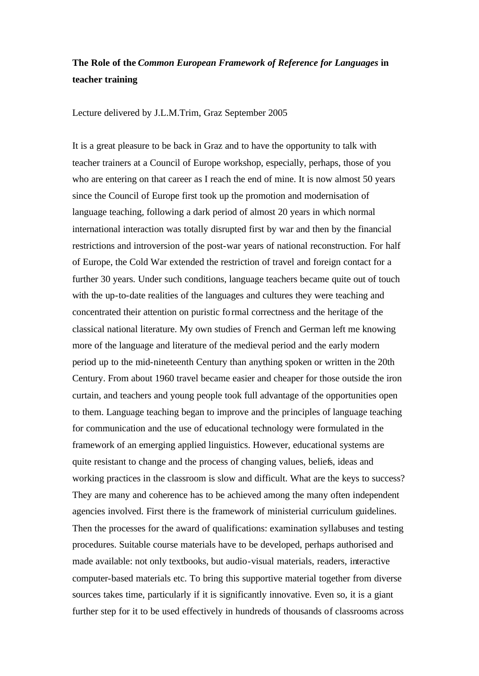## **The Role of the** *Common European Framework of Reference for Languages* **in teacher training**

Lecture delivered by J.L.M.Trim, Graz September 2005

It is a great pleasure to be back in Graz and to have the opportunity to talk with teacher trainers at a Council of Europe workshop, especially, perhaps, those of you who are entering on that career as I reach the end of mine. It is now almost 50 years since the Council of Europe first took up the promotion and modernisation of language teaching, following a dark period of almost 20 years in which normal international interaction was totally disrupted first by war and then by the financial restrictions and introversion of the post-war years of national reconstruction. For half of Europe, the Cold War extended the restriction of travel and foreign contact for a further 30 years. Under such conditions, language teachers became quite out of touch with the up-to-date realities of the languages and cultures they were teaching and concentrated their attention on puristic formal correctness and the heritage of the classical national literature. My own studies of French and German left me knowing more of the language and literature of the medieval period and the early modern period up to the mid-nineteenth Century than anything spoken or written in the 20th Century. From about 1960 travel became easier and cheaper for those outside the iron curtain, and teachers and young people took full advantage of the opportunities open to them. Language teaching began to improve and the principles of language teaching for communication and the use of educational technology were formulated in the framework of an emerging applied linguistics. However, educational systems are quite resistant to change and the process of changing values, beliefs, ideas and working practices in the classroom is slow and difficult. What are the keys to success? They are many and coherence has to be achieved among the many often independent agencies involved. First there is the framework of ministerial curriculum guidelines. Then the processes for the award of qualifications: examination syllabuses and testing procedures. Suitable course materials have to be developed, perhaps authorised and made available: not only textbooks, but audio-visual materials, readers, interactive computer-based materials etc. To bring this supportive material together from diverse sources takes time, particularly if it is significantly innovative. Even so, it is a giant further step for it to be used effectively in hundreds of thousands of classrooms across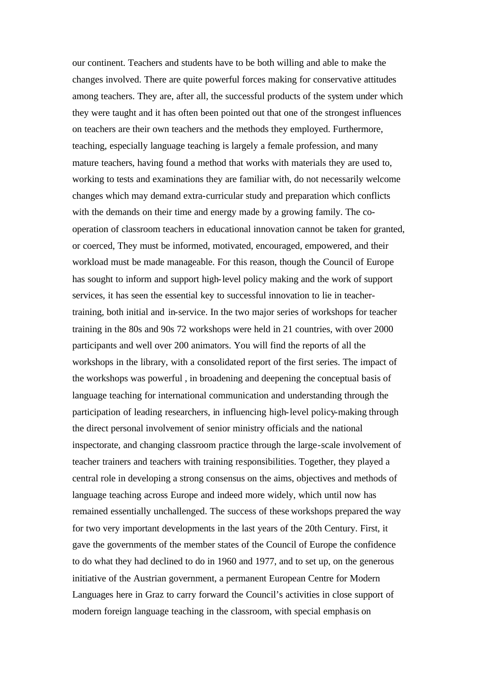our continent. Teachers and students have to be both willing and able to make the changes involved. There are quite powerful forces making for conservative attitudes among teachers. They are, after all, the successful products of the system under which they were taught and it has often been pointed out that one of the strongest influences on teachers are their own teachers and the methods they employed. Furthermore, teaching, especially language teaching is largely a female profession, and many mature teachers, having found a method that works with materials they are used to, working to tests and examinations they are familiar with, do not necessarily welcome changes which may demand extra-curricular study and preparation which conflicts with the demands on their time and energy made by a growing family. The cooperation of classroom teachers in educational innovation cannot be taken for granted, or coerced, They must be informed, motivated, encouraged, empowered, and their workload must be made manageable. For this reason, though the Council of Europe has sought to inform and support high-level policy making and the work of support services, it has seen the essential key to successful innovation to lie in teachertraining, both initial and in-service. In the two major series of workshops for teacher training in the 80s and 90s 72 workshops were held in 21 countries, with over 2000 participants and well over 200 animators. You will find the reports of all the workshops in the library, with a consolidated report of the first series. The impact of the workshops was powerful , in broadening and deepening the conceptual basis of language teaching for international communication and understanding through the participation of leading researchers, in influencing high-level policy-making through the direct personal involvement of senior ministry officials and the national inspectorate, and changing classroom practice through the large-scale involvement of teacher trainers and teachers with training responsibilities. Together, they played a central role in developing a strong consensus on the aims, objectives and methods of language teaching across Europe and indeed more widely, which until now has remained essentially unchallenged. The success of these workshops prepared the way for two very important developments in the last years of the 20th Century. First, it gave the governments of the member states of the Council of Europe the confidence to do what they had declined to do in 1960 and 1977, and to set up, on the generous initiative of the Austrian government, a permanent European Centre for Modern Languages here in Graz to carry forward the Council's activities in close support of modern foreign language teaching in the classroom, with special emphasis on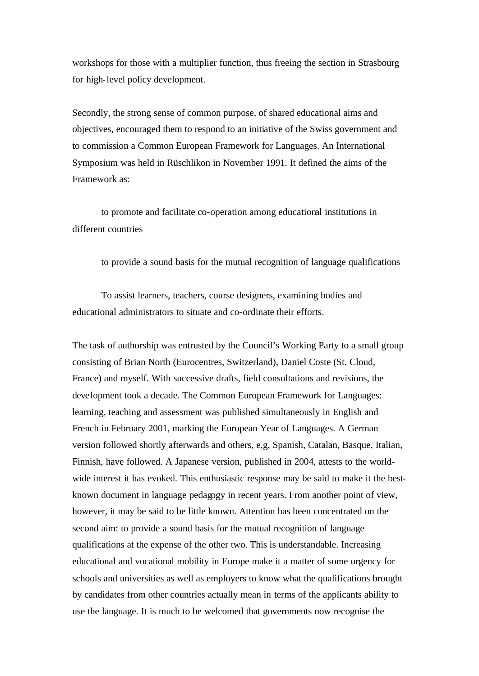workshops for those with a multiplier function, thus freeing the section in Strasbourg for high-level policy development.

Secondly, the strong sense of common purpose, of shared educational aims and objectives, encouraged them to respond to an initiative of the Swiss government and to commission a Common European Framework for Languages. An International Symposium was held in Rüschlikon in November 1991. It defined the aims of the Framework as:

to promote and facilitate co-operation among educational institutions in different countries

to provide a sound basis for the mutual recognition of language qualifications

To assist learners, teachers, course designers, examining bodies and educational administrators to situate and co-ordinate their efforts.

The task of authorship was entrusted by the Council's Working Party to a small group consisting of Brian North (Eurocentres, Switzerland), Daniel Coste (St. Cloud, France) and myself. With successive drafts, field consultations and revisions, the development took a decade. The Common European Framework for Languages: learning, teaching and assessment was published simultaneously in English and French in February 2001, marking the European Year of Languages. A German version followed shortly afterwards and others, e,g, Spanish, Catalan, Basque, Italian, Finnish, have followed. A Japanese version, published in 2004, attests to the worldwide interest it has evoked. This enthusiastic response may be said to make it the bestknown document in language pedagogy in recent years. From another point of view, however, it may be said to be little known. Attention has been concentrated on the second aim: to provide a sound basis for the mutual recognition of language qualifications at the expense of the other two. This is understandable. Increasing educational and vocational mobility in Europe make it a matter of some urgency for schools and universities as well as employers to know what the qualifications brought by candidates from other countries actually mean in terms of the applicants ability to use the language. It is much to be welcomed that governments now recognise the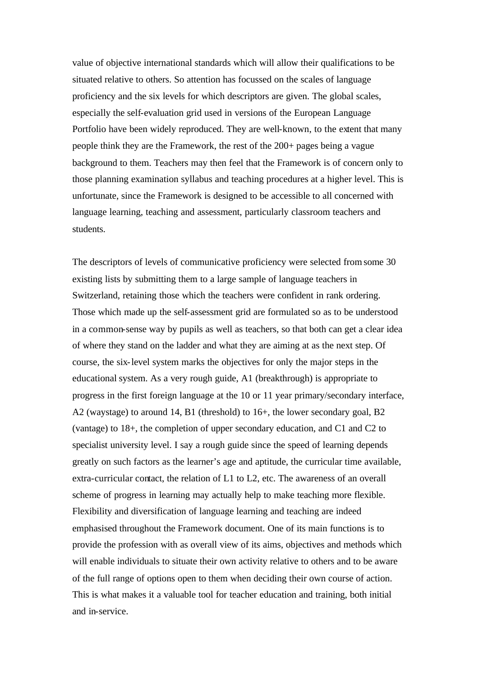value of objective international standards which will allow their qualifications to be situated relative to others. So attention has focussed on the scales of language proficiency and the six levels for which descriptors are given. The global scales, especially the self-evaluation grid used in versions of the European Language Portfolio have been widely reproduced. They are well-known, to the extent that many people think they are the Framework, the rest of the 200+ pages being a vague background to them. Teachers may then feel that the Framework is of concern only to those planning examination syllabus and teaching procedures at a higher level. This is unfortunate, since the Framework is designed to be accessible to all concerned with language learning, teaching and assessment, particularly classroom teachers and students.

The descriptors of levels of communicative proficiency were selected from some 30 existing lists by submitting them to a large sample of language teachers in Switzerland, retaining those which the teachers were confident in rank ordering. Those which made up the self-assessment grid are formulated so as to be understood in a common-sense way by pupils as well as teachers, so that both can get a clear idea of where they stand on the ladder and what they are aiming at as the next step. Of course, the six-level system marks the objectives for only the major steps in the educational system. As a very rough guide, A1 (breakthrough) is appropriate to progress in the first foreign language at the 10 or 11 year primary/secondary interface, A2 (waystage) to around 14, B1 (threshold) to 16+, the lower secondary goal, B2 (vantage) to 18+, the completion of upper secondary education, and C1 and C2 to specialist university level. I say a rough guide since the speed of learning depends greatly on such factors as the learner's age and aptitude, the curricular time available, extra-curricular contact, the relation of L1 to L2, etc. The awareness of an overall scheme of progress in learning may actually help to make teaching more flexible. Flexibility and diversification of language learning and teaching are indeed emphasised throughout the Framework document. One of its main functions is to provide the profession with as overall view of its aims, objectives and methods which will enable individuals to situate their own activity relative to others and to be aware of the full range of options open to them when deciding their own course of action. This is what makes it a valuable tool for teacher education and training, both initial and in-service.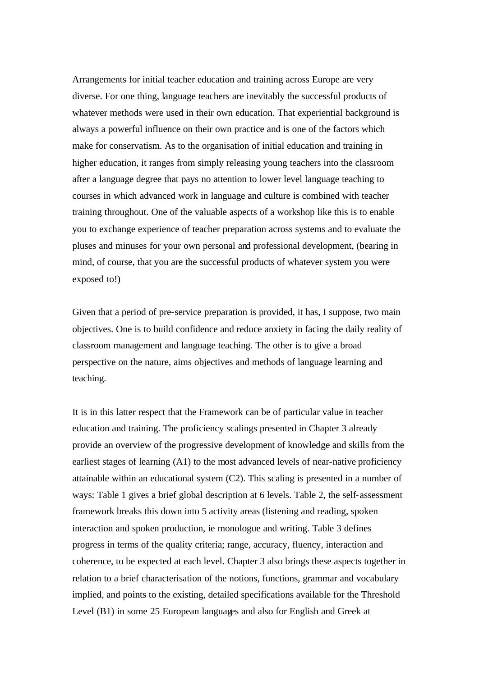Arrangements for initial teacher education and training across Europe are very diverse. For one thing, language teachers are inevitably the successful products of whatever methods were used in their own education. That experiential background is always a powerful influence on their own practice and is one of the factors which make for conservatism. As to the organisation of initial education and training in higher education, it ranges from simply releasing young teachers into the classroom after a language degree that pays no attention to lower level language teaching to courses in which advanced work in language and culture is combined with teacher training throughout. One of the valuable aspects of a workshop like this is to enable you to exchange experience of teacher preparation across systems and to evaluate the pluses and minuses for your own personal and professional development, (bearing in mind, of course, that you are the successful products of whatever system you were exposed to!)

Given that a period of pre-service preparation is provided, it has, I suppose, two main objectives. One is to build confidence and reduce anxiety in facing the daily reality of classroom management and language teaching. The other is to give a broad perspective on the nature, aims objectives and methods of language learning and teaching.

It is in this latter respect that the Framework can be of particular value in teacher education and training. The proficiency scalings presented in Chapter 3 already provide an overview of the progressive development of knowledge and skills from the earliest stages of learning (A1) to the most advanced levels of near-native proficiency attainable within an educational system (C2). This scaling is presented in a number of ways: Table 1 gives a brief global description at 6 levels. Table 2, the self-assessment framework breaks this down into 5 activity areas (listening and reading, spoken interaction and spoken production, ie monologue and writing. Table 3 defines progress in terms of the quality criteria; range, accuracy, fluency, interaction and coherence, to be expected at each level. Chapter 3 also brings these aspects together in relation to a brief characterisation of the notions, functions, grammar and vocabulary implied, and points to the existing, detailed specifications available for the Threshold Level (B1) in some 25 European languages and also for English and Greek at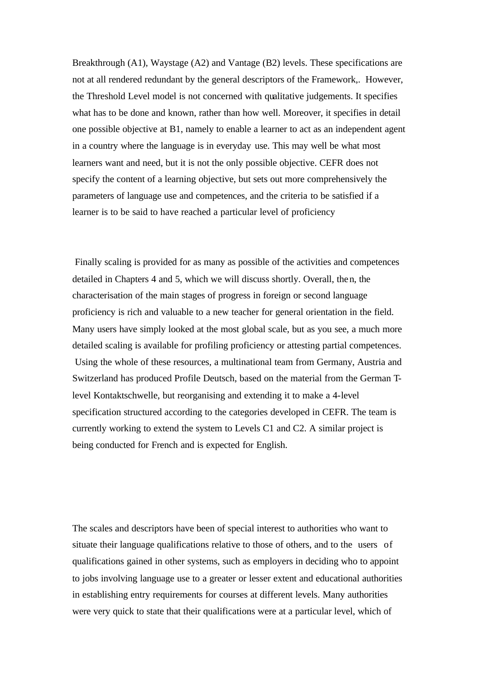Breakthrough (A1), Waystage (A2) and Vantage (B2) levels. These specifications are not at all rendered redundant by the general descriptors of the Framework,. However, the Threshold Level model is not concerned with qualitative judgements. It specifies what has to be done and known, rather than how well. Moreover, it specifies in detail one possible objective at B1, namely to enable a learner to act as an independent agent in a country where the language is in everyday use. This may well be what most learners want and need, but it is not the only possible objective. CEFR does not specify the content of a learning objective, but sets out more comprehensively the parameters of language use and competences, and the criteria to be satisfied if a learner is to be said to have reached a particular level of proficiency

 Finally scaling is provided for as many as possible of the activities and competences detailed in Chapters 4 and 5, which we will discuss shortly. Overall, then, the characterisation of the main stages of progress in foreign or second language proficiency is rich and valuable to a new teacher for general orientation in the field. Many users have simply looked at the most global scale, but as you see, a much more detailed scaling is available for profiling proficiency or attesting partial competences. Using the whole of these resources, a multinational team from Germany, Austria and Switzerland has produced Profile Deutsch, based on the material from the German Tlevel Kontaktschwelle, but reorganising and extending it to make a 4-level specification structured according to the categories developed in CEFR. The team is currently working to extend the system to Levels C1 and C2. A similar project is being conducted for French and is expected for English.

The scales and descriptors have been of special interest to authorities who want to situate their language qualifications relative to those of others, and to the users of qualifications gained in other systems, such as employers in deciding who to appoint to jobs involving language use to a greater or lesser extent and educational authorities in establishing entry requirements for courses at different levels. Many authorities were very quick to state that their qualifications were at a particular level, which of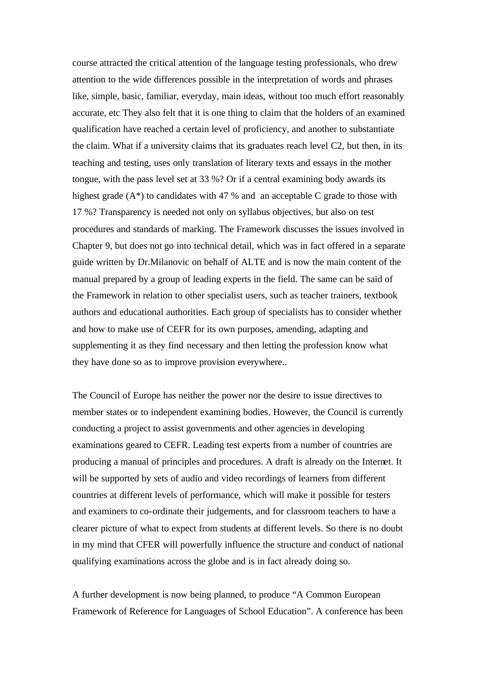course attracted the critical attention of the language testing professionals, who drew attention to the wide differences possible in the interpretation of words and phrases like, simple, basic, familiar, everyday, main ideas, without too much effort reasonably accurate, etc They also felt that it is one thing to claim that the holders of an examined qualification have reached a certain level of proficiency, and another to substantiate the claim. What if a university claims that its graduates reach level C2, but then, in its teaching and testing, uses only translation of literary texts and essays in the mother tongue, with the pass level set at 33 %? Or if a central examining body awards its highest grade  $(A^*)$  to candidates with 47 % and an acceptable C grade to those with 17 %? Transparency is needed not only on syllabus objectives, but also on test procedures and standards of marking. The Framework discusses the issues involved in Chapter 9, but does not go into technical detail, which was in fact offered in a separate guide written by Dr.Milanovic on behalf of ALTE and is now the main content of the manual prepared by a group of leading experts in the field. The same can be said of the Framework in relation to other specialist users, such as teacher trainers, textbook authors and educational authorities. Each group of specialists has to consider whether and how to make use of CEFR for its own purposes, amending, adapting and supplementing it as they find necessary and then letting the profession know what they have done so as to improve provision everywhere..

The Council of Europe has neither the power nor the desire to issue directives to member states or to independent examining bodies. However, the Council is currently conducting a project to assist governments and other agencies in developing examinations geared to CEFR. Leading test experts from a number of countries are producing a manual of principles and procedures. A draft is already on the Internet. It will be supported by sets of audio and video recordings of learners from different countries at different levels of performance, which will make it possible for testers and examiners to co-ordinate their judgements, and for classroom teachers to have a clearer picture of what to expect from students at different levels. So there is no doubt in my mind that CFER will powerfully influence the structure and conduct of national qualifying examinations across the globe and is in fact already doing so.

A further development is now being planned, to produce "A Common European Framework of Reference for Languages of School Education". A conference has been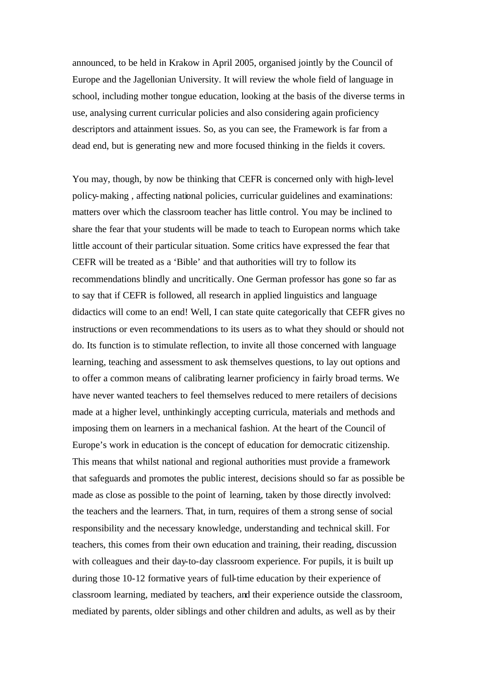announced, to be held in Krakow in April 2005, organised jointly by the Council of Europe and the Jagellonian University. It will review the whole field of language in school, including mother tongue education, looking at the basis of the diverse terms in use, analysing current curricular policies and also considering again proficiency descriptors and attainment issues. So, as you can see, the Framework is far from a dead end, but is generating new and more focused thinking in the fields it covers.

You may, though, by now be thinking that CEFR is concerned only with high-level policy-making , affecting national policies, curricular guidelines and examinations: matters over which the classroom teacher has little control. You may be inclined to share the fear that your students will be made to teach to European norms which take little account of their particular situation. Some critics have expressed the fear that CEFR will be treated as a 'Bible' and that authorities will try to follow its recommendations blindly and uncritically. One German professor has gone so far as to say that if CEFR is followed, all research in applied linguistics and language didactics will come to an end! Well, I can state quite categorically that CEFR gives no instructions or even recommendations to its users as to what they should or should not do. Its function is to stimulate reflection, to invite all those concerned with language learning, teaching and assessment to ask themselves questions, to lay out options and to offer a common means of calibrating learner proficiency in fairly broad terms. We have never wanted teachers to feel themselves reduced to mere retailers of decisions made at a higher level, unthinkingly accepting curricula, materials and methods and imposing them on learners in a mechanical fashion. At the heart of the Council of Europe's work in education is the concept of education for democratic citizenship. This means that whilst national and regional authorities must provide a framework that safeguards and promotes the public interest, decisions should so far as possible be made as close as possible to the point of learning, taken by those directly involved: the teachers and the learners. That, in turn, requires of them a strong sense of social responsibility and the necessary knowledge, understanding and technical skill. For teachers, this comes from their own education and training, their reading, discussion with colleagues and their day-to-day classroom experience. For pupils, it is built up during those 10-12 formative years of full-time education by their experience of classroom learning, mediated by teachers, and their experience outside the classroom, mediated by parents, older siblings and other children and adults, as well as by their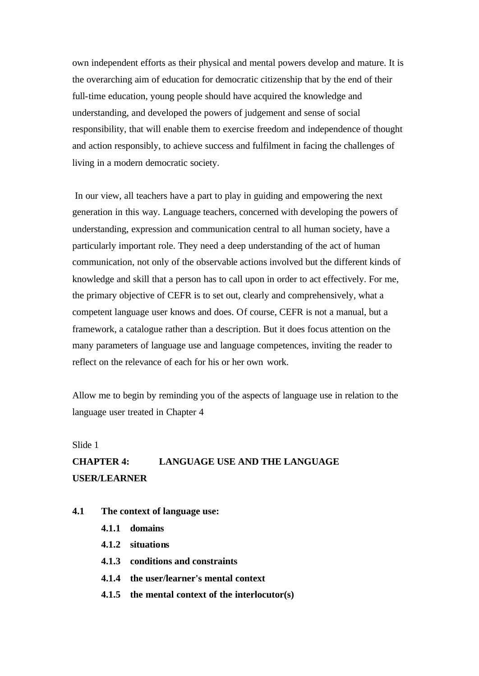own independent efforts as their physical and mental powers develop and mature. It is the overarching aim of education for democratic citizenship that by the end of their full-time education, young people should have acquired the knowledge and understanding, and developed the powers of judgement and sense of social responsibility, that will enable them to exercise freedom and independence of thought and action responsibly, to achieve success and fulfilment in facing the challenges of living in a modern democratic society.

 In our view, all teachers have a part to play in guiding and empowering the next generation in this way. Language teachers, concerned with developing the powers of understanding, expression and communication central to all human society, have a particularly important role. They need a deep understanding of the act of human communication, not only of the observable actions involved but the different kinds of knowledge and skill that a person has to call upon in order to act effectively. For me, the primary objective of CEFR is to set out, clearly and comprehensively, what a competent language user knows and does. Of course, CEFR is not a manual, but a framework, a catalogue rather than a description. But it does focus attention on the many parameters of language use and language competences, inviting the reader to reflect on the relevance of each for his or her own work.

Allow me to begin by reminding you of the aspects of language use in relation to the language user treated in Chapter 4

# Slide 1 **CHAPTER 4: LANGUAGE USE AND THE LANGUAGE USER/LEARNER**

- **4.1 The context of language use:**
	- **4.1.1 domains**
	- **4.1.2 situations**
	- **4.1.3 conditions and constraints**
	- **4.1.4 the user/learner's mental context**
	- **4.1.5 the mental context of the interlocutor(s)**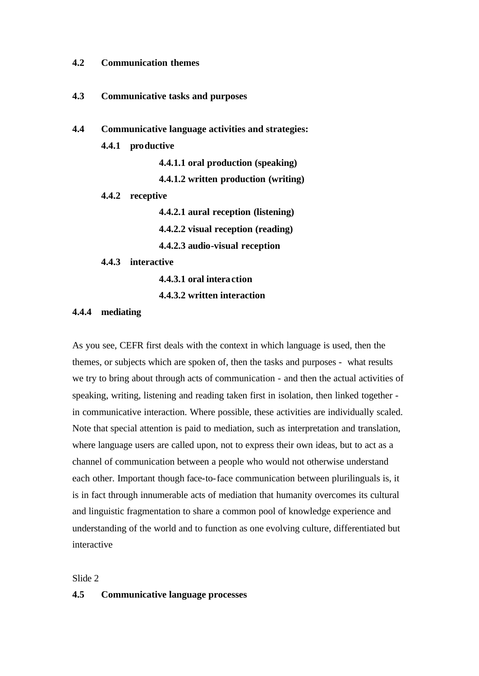#### **4.2 Communication themes**

- **4.3 Communicative tasks and purposes**
- **4.4 Communicative language activities and strategies:**
	- **4.4.1 productive**

**4.4.1.1 oral production (speaking) 4.4.1.2 written production (writing)**

**4.4.2 receptive**

**4.4.2.1 aural reception (listening)**

**4.4.2.2 visual reception (reading)**

**4.4.2.3 audio-visual reception**

**4.4.3 interactive**

**4.4.3.1 oral interaction**

**4.4.3.2 written interaction**

## **4.4.4 mediating**

As you see, CEFR first deals with the context in which language is used, then the themes, or subjects which are spoken of, then the tasks and purposes - what results we try to bring about through acts of communication - and then the actual activities of speaking, writing, listening and reading taken first in isolation, then linked together in communicative interaction. Where possible, these activities are individually scaled. Note that special attention is paid to mediation, such as interpretation and translation, where language users are called upon, not to express their own ideas, but to act as a channel of communication between a people who would not otherwise understand each other. Important though face-to-face communication between plurilinguals is, it is in fact through innumerable acts of mediation that humanity overcomes its cultural and linguistic fragmentation to share a common pool of knowledge experience and understanding of the world and to function as one evolving culture, differentiated but interactive

Slide 2

### **4.5 Communicative language processes**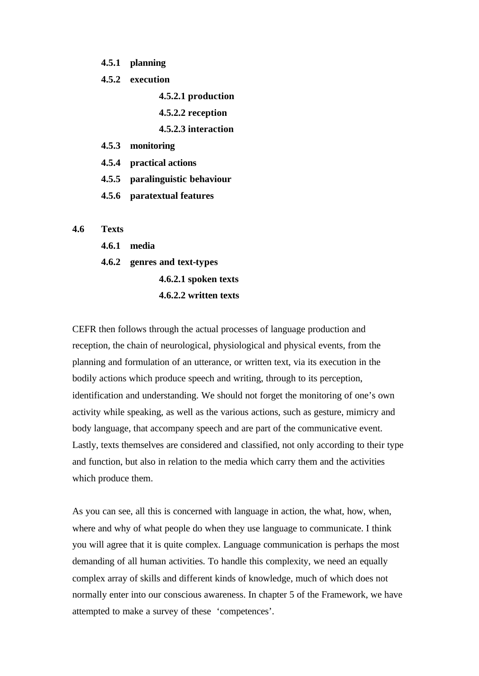**4.5.1 planning**

**4.5.2 execution**

- **4.5.2.1 production**
- **4.5.2.2 reception**
- **4.5.2.3 interaction**
- **4.5.3 monitoring**
- **4.5.4 practical actions**
- **4.5.5 paralinguistic behaviour**
- **4.5.6 paratextual features**

#### **4.6 Texts**

- **4.6.1 media**
- **4.6.2 genres and text-types**
	- **4.6.2.1 spoken texts 4.6.2.2 written texts**

CEFR then follows through the actual processes of language production and reception, the chain of neurological, physiological and physical events, from the planning and formulation of an utterance, or written text, via its execution in the bodily actions which produce speech and writing, through to its perception, identification and understanding. We should not forget the monitoring of one's own activity while speaking, as well as the various actions, such as gesture, mimicry and body language, that accompany speech and are part of the communicative event. Lastly, texts themselves are considered and classified, not only according to their type and function, but also in relation to the media which carry them and the activities which produce them.

As you can see, all this is concerned with language in action, the what, how, when, where and why of what people do when they use language to communicate. I think you will agree that it is quite complex. Language communication is perhaps the most demanding of all human activities. To handle this complexity, we need an equally complex array of skills and different kinds of knowledge, much of which does not normally enter into our conscious awareness. In chapter 5 of the Framework, we have attempted to make a survey of these 'competences'.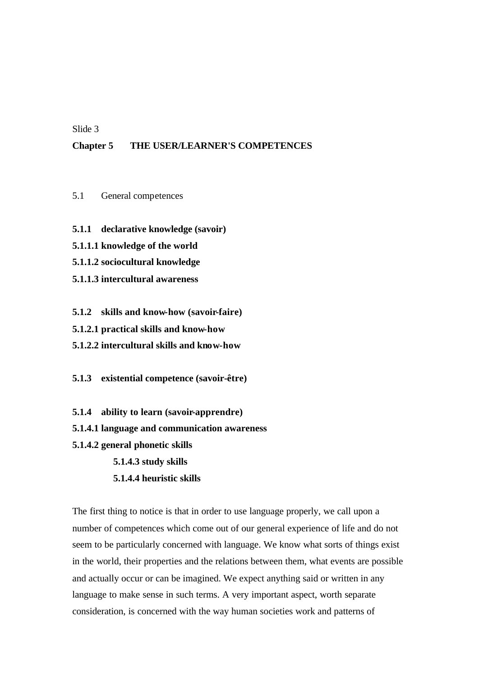## Slide 3

## **Chapter 5 THE USER/LEARNER'S COMPETENCES**

- 5.1 General competences
- **5.1.1 declarative knowledge (savoir)**
- **5.1.1.1 knowledge of the world**
- **5.1.1.2 sociocultural knowledge**
- **5.1.1.3 intercultural awareness**
- **5.1.2 skills and know-how (savoir-faire)**
- **5.1.2.1 practical skills and know-how**
- **5.1.2.2 intercultural skills and know-how**
- **5.1.3 existential competence (savoir-être)**
- **5.1.4 ability to learn (savoir-apprendre)**
- **5.1.4.1 language and communication awareness**
- **5.1.4.2 general phonetic skills**
	- **5.1.4.3 study skills**
	- **5.1.4.4 heuristic skills**

The first thing to notice is that in order to use language properly, we call upon a number of competences which come out of our general experience of life and do not seem to be particularly concerned with language. We know what sorts of things exist in the world, their properties and the relations between them, what events are possible and actually occur or can be imagined. We expect anything said or written in any language to make sense in such terms. A very important aspect, worth separate consideration, is concerned with the way human societies work and patterns of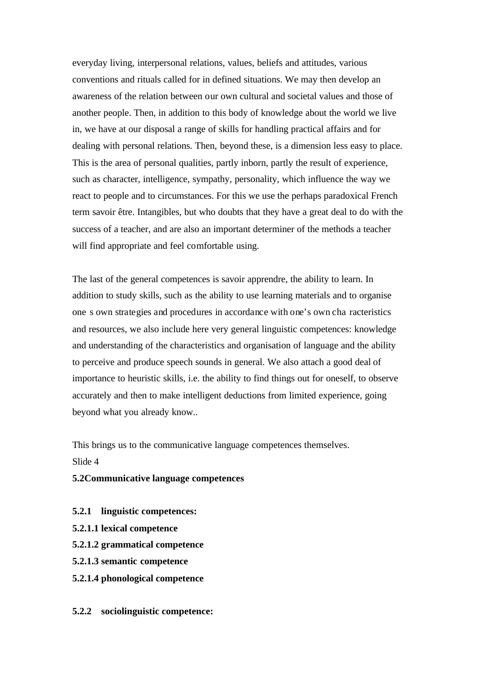everyday living, interpersonal relations, values, beliefs and attitudes, various conventions and rituals called for in defined situations. We may then develop an awareness of the relation between our own cultural and societal values and those of another people. Then, in addition to this body of knowledge about the world we live in, we have at our disposal a range of skills for handling practical affairs and for dealing with personal relations. Then, beyond these, is a dimension less easy to place. This is the area of personal qualities, partly inborn, partly the result of experience, such as character, intelligence, sympathy, personality, which influence the way we react to people and to circumstances. For this we use the perhaps paradoxical French term savoir être. Intangibles, but who doubts that they have a great deal to do with the success of a teacher, and are also an important determiner of the methods a teacher will find appropriate and feel comfortable using.

The last of the general competences is savoir apprendre, the ability to learn. In addition to study skills, such as the ability to use learning materials and to organise one s own strategies and procedures in accordance with one's own cha racteristics and resources, we also include here very general linguistic competences: knowledge and understanding of the characteristics and organisation of language and the ability to perceive and produce speech sounds in general. We also attach a good deal of importance to heuristic skills, i.e. the ability to find things out for oneself, to observe accurately and then to make intelligent deductions from limited experience, going beyond what you already know..

This brings us to the communicative language competences themselves. Slide 4

## **5.2Communicative language competences**

- **5.2.1 linguistic competences:**
- **5.2.1.1 lexical competence**
- **5.2.1.2 grammatical competence**
- **5.2.1.3 semantic competence**
- **5.2.1.4 phonological competence**
- **5.2.2 sociolinguistic competence:**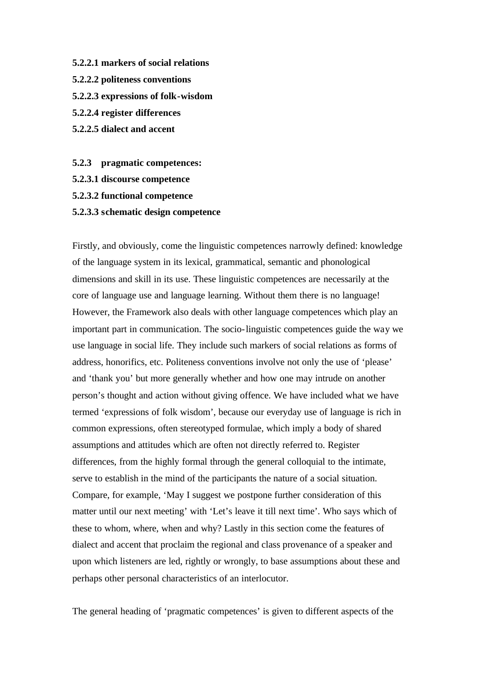- **5.2.2.1 markers of social relations**
- **5.2.2.2 politeness conventions**
- **5.2.2.3 expressions of folk-wisdom**
- **5.2.2.4 register differences**
- **5.2.2.5 dialect and accent**
- **5.2.3 pragmatic competences:**
- **5.2.3.1 discourse competence**
- **5.2.3.2 functional competence**
- **5.2.3.3 schematic design competence**

Firstly, and obviously, come the linguistic competences narrowly defined: knowledge of the language system in its lexical, grammatical, semantic and phonological dimensions and skill in its use. These linguistic competences are necessarily at the core of language use and language learning. Without them there is no language! However, the Framework also deals with other language competences which play an important part in communication. The socio-linguistic competences guide the way we use language in social life. They include such markers of social relations as forms of address, honorifics, etc. Politeness conventions involve not only the use of 'please' and 'thank you' but more generally whether and how one may intrude on another person's thought and action without giving offence. We have included what we have termed 'expressions of folk wisdom', because our everyday use of language is rich in common expressions, often stereotyped formulae, which imply a body of shared assumptions and attitudes which are often not directly referred to. Register differences, from the highly formal through the general colloquial to the intimate, serve to establish in the mind of the participants the nature of a social situation. Compare, for example, 'May I suggest we postpone further consideration of this matter until our next meeting' with 'Let's leave it till next time'. Who says which of these to whom, where, when and why? Lastly in this section come the features of dialect and accent that proclaim the regional and class provenance of a speaker and upon which listeners are led, rightly or wrongly, to base assumptions about these and perhaps other personal characteristics of an interlocutor.

The general heading of 'pragmatic competences' is given to different aspects of the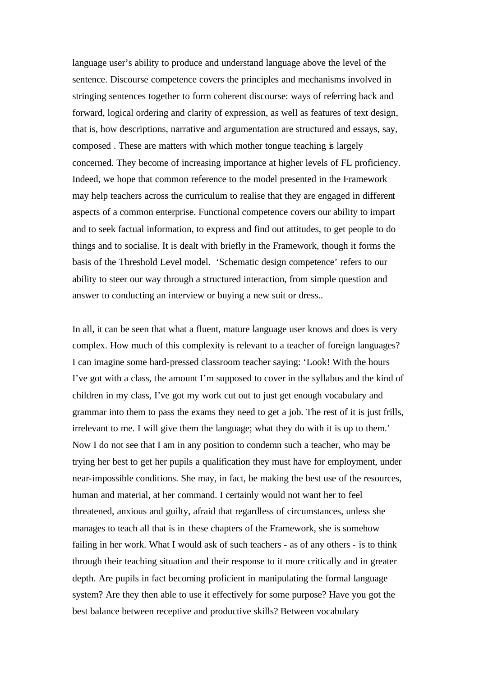language user's ability to produce and understand language above the level of the sentence. Discourse competence covers the principles and mechanisms involved in stringing sentences together to form coherent discourse: ways of referring back and forward, logical ordering and clarity of expression, as well as features of text design, that is, how descriptions, narrative and argumentation are structured and essays, say, composed . These are matters with which mother tongue teaching is largely concerned. They become of increasing importance at higher levels of FL proficiency. Indeed, we hope that common reference to the model presented in the Framework may help teachers across the curriculum to realise that they are engaged in different aspects of a common enterprise. Functional competence covers our ability to impart and to seek factual information, to express and find out attitudes, to get people to do things and to socialise. It is dealt with briefly in the Framework, though it forms the basis of the Threshold Level model. 'Schematic design competence' refers to our ability to steer our way through a structured interaction, from simple question and answer to conducting an interview or buying a new suit or dress..

In all, it can be seen that what a fluent, mature language user knows and does is very complex. How much of this complexity is relevant to a teacher of foreign languages? I can imagine some hard-pressed classroom teacher saying: 'Look! With the hours I've got with a class, the amount I'm supposed to cover in the syllabus and the kind of children in my class, I've got my work cut out to just get enough vocabulary and grammar into them to pass the exams they need to get a job. The rest of it is just frills, irrelevant to me. I will give them the language; what they do with it is up to them.' Now I do not see that I am in any position to condemn such a teacher, who may be trying her best to get her pupils a qualification they must have for employment, under near-impossible conditions. She may, in fact, be making the best use of the resources, human and material, at her command. I certainly would not want her to feel threatened, anxious and guilty, afraid that regardless of circumstances, unless she manages to teach all that is in these chapters of the Framework, she is somehow failing in her work. What I would ask of such teachers - as of any others - is to think through their teaching situation and their response to it more critically and in greater depth. Are pupils in fact becoming proficient in manipulating the formal language system? Are they then able to use it effectively for some purpose? Have you got the best balance between receptive and productive skills? Between vocabulary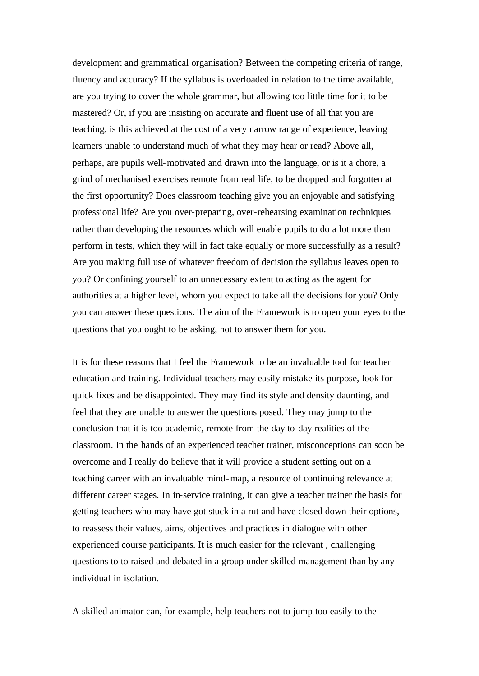development and grammatical organisation? Between the competing criteria of range, fluency and accuracy? If the syllabus is overloaded in relation to the time available, are you trying to cover the whole grammar, but allowing too little time for it to be mastered? Or, if you are insisting on accurate and fluent use of all that you are teaching, is this achieved at the cost of a very narrow range of experience, leaving learners unable to understand much of what they may hear or read? Above all, perhaps, are pupils well-motivated and drawn into the language, or is it a chore, a grind of mechanised exercises remote from real life, to be dropped and forgotten at the first opportunity? Does classroom teaching give you an enjoyable and satisfying professional life? Are you over-preparing, over-rehearsing examination techniques rather than developing the resources which will enable pupils to do a lot more than perform in tests, which they will in fact take equally or more successfully as a result? Are you making full use of whatever freedom of decision the syllabus leaves open to you? Or confining yourself to an unnecessary extent to acting as the agent for authorities at a higher level, whom you expect to take all the decisions for you? Only you can answer these questions. The aim of the Framework is to open your eyes to the questions that you ought to be asking, not to answer them for you.

It is for these reasons that I feel the Framework to be an invaluable tool for teacher education and training. Individual teachers may easily mistake its purpose, look for quick fixes and be disappointed. They may find its style and density daunting, and feel that they are unable to answer the questions posed. They may jump to the conclusion that it is too academic, remote from the day-to-day realities of the classroom. In the hands of an experienced teacher trainer, misconceptions can soon be overcome and I really do believe that it will provide a student setting out on a teaching career with an invaluable mind-map, a resource of continuing relevance at different career stages. In in-service training, it can give a teacher trainer the basis for getting teachers who may have got stuck in a rut and have closed down their options, to reassess their values, aims, objectives and practices in dialogue with other experienced course participants. It is much easier for the relevant , challenging questions to to raised and debated in a group under skilled management than by any individual in isolation.

A skilled animator can, for example, help teachers not to jump too easily to the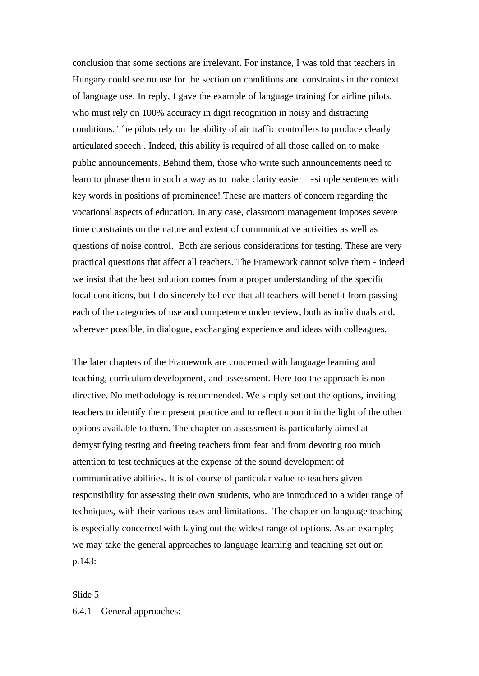conclusion that some sections are irrelevant. For instance, I was told that teachers in Hungary could see no use for the section on conditions and constraints in the context of language use. In reply, I gave the example of language training for airline pilots, who must rely on 100% accuracy in digit recognition in noisy and distracting conditions. The pilots rely on the ability of air traffic controllers to produce clearly articulated speech . Indeed, this ability is required of all those called on to make public announcements. Behind them, those who write such announcements need to learn to phrase them in such a way as to make clarity easier -simple sentences with key words in positions of prominence! These are matters of concern regarding the vocational aspects of education. In any case, classroom management imposes severe time constraints on the nature and extent of communicative activities as well as questions of noise control. Both are serious considerations for testing. These are very practical questions that affect all teachers. The Framework cannot solve them - indeed we insist that the best solution comes from a proper understanding of the specific local conditions, but I do sincerely believe that all teachers will benefit from passing each of the categories of use and competence under review, both as individuals and, wherever possible, in dialogue, exchanging experience and ideas with colleagues.

The later chapters of the Framework are concerned with language learning and teaching, curriculum development, and assessment. Here too the approach is nondirective. No methodology is recommended. We simply set out the options, inviting teachers to identify their present practice and to reflect upon it in the light of the other options available to them. The chapter on assessment is particularly aimed at demystifying testing and freeing teachers from fear and from devoting too much attention to test techniques at the expense of the sound development of communicative abilities. It is of course of particular value to teachers given responsibility for assessing their own students, who are introduced to a wider range of techniques, with their various uses and limitations. The chapter on language teaching is especially concerned with laying out the widest range of options. As an example; we may take the general approaches to language learning and teaching set out on p.143:

#### Slide 5

#### 6.4.1 General approaches: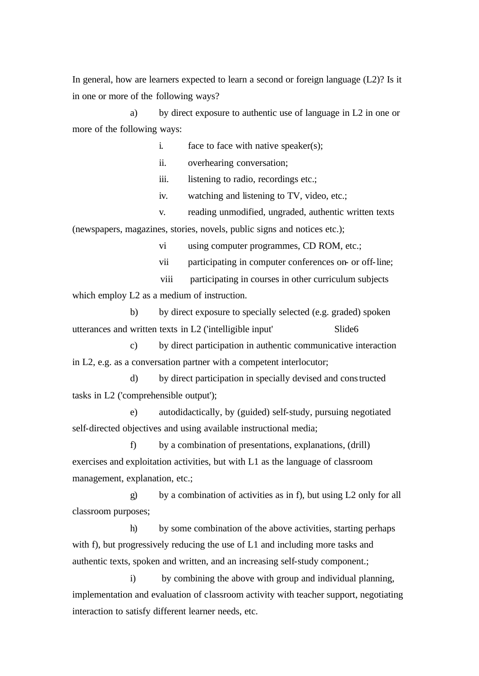In general, how are learners expected to learn a second or foreign language (L2)? Is it in one or more of the following ways?

a) by direct exposure to authentic use of language in L2 in one or more of the following ways:

i. face to face with native speaker(s);

ii. overhearing conversation;

iii. listening to radio, recordings etc.;

iv. watching and listening to TV, video, etc.;

v. reading unmodified, ungraded, authentic written texts (newspapers, magazines, stories, novels, public signs and notices etc.);

vi using computer programmes, CD ROM, etc.;

vii participating in computer conferences on- or off-line;

 viii participating in courses in other curriculum subjects which employ L<sub>2</sub> as a medium of instruction.

b) by direct exposure to specially selected (e.g. graded) spoken utterances and written texts in L2 ('intelligible input' Slide6

c) by direct participation in authentic communicative interaction in L2, e.g. as a conversation partner with a competent interlocutor;

d) by direct participation in specially devised and constructed tasks in L2 ('comprehensible output');

e) autodidactically, by (guided) self-study, pursuing negotiated self-directed objectives and using available instructional media;

f) by a combination of presentations, explanations, (drill) exercises and exploitation activities, but with L1 as the language of classroom management, explanation, etc.;

g) by a combination of activities as in f), but using L2 only for all classroom purposes;

h) by some combination of the above activities, starting perhaps with f), but progressively reducing the use of L1 and including more tasks and authentic texts, spoken and written, and an increasing self-study component.;

i) by combining the above with group and individual planning, implementation and evaluation of classroom activity with teacher support, negotiating interaction to satisfy different learner needs, etc.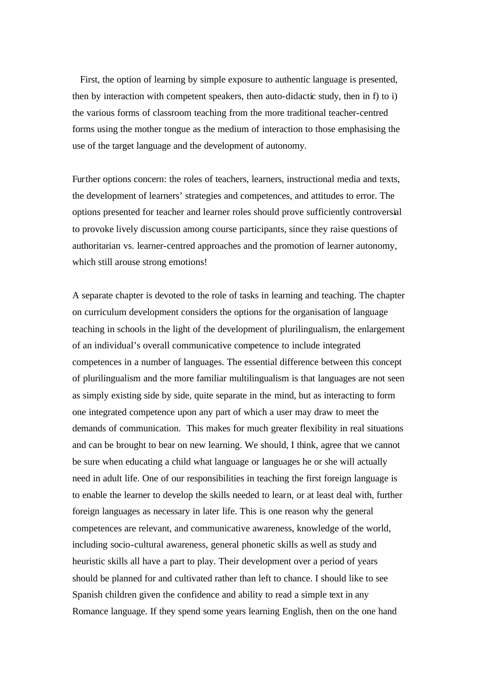First, the option of learning by simple exposure to authentic language is presented, then by interaction with competent speakers, then auto-didactic study, then in f) to i) the various forms of classroom teaching from the more traditional teacher-centred forms using the mother tongue as the medium of interaction to those emphasising the use of the target language and the development of autonomy.

Further options concern: the roles of teachers, learners, instructional media and texts, the development of learners' strategies and competences, and attitudes to error. The options presented for teacher and learner roles should prove sufficiently controversial to provoke lively discussion among course participants, since they raise questions of authoritarian vs. learner-centred approaches and the promotion of learner autonomy, which still arouse strong emotions!

A separate chapter is devoted to the role of tasks in learning and teaching. The chapter on curriculum development considers the options for the organisation of language teaching in schools in the light of the development of plurilingualism, the enlargement of an individual's overall communicative competence to include integrated competences in a number of languages. The essential difference between this concept of plurilingualism and the more familiar multilingualism is that languages are not seen as simply existing side by side, quite separate in the mind, but as interacting to form one integrated competence upon any part of which a user may draw to meet the demands of communication. This makes for much greater flexibility in real situations and can be brought to bear on new learning. We should, I think, agree that we cannot be sure when educating a child what language or languages he or she will actually need in adult life. One of our responsibilities in teaching the first foreign language is to enable the learner to develop the skills needed to learn, or at least deal with, further foreign languages as necessary in later life. This is one reason why the general competences are relevant, and communicative awareness, knowledge of the world, including socio-cultural awareness, general phonetic skills as well as study and heuristic skills all have a part to play. Their development over a period of years should be planned for and cultivated rather than left to chance. I should like to see Spanish children given the confidence and ability to read a simple text in any Romance language. If they spend some years learning English, then on the one hand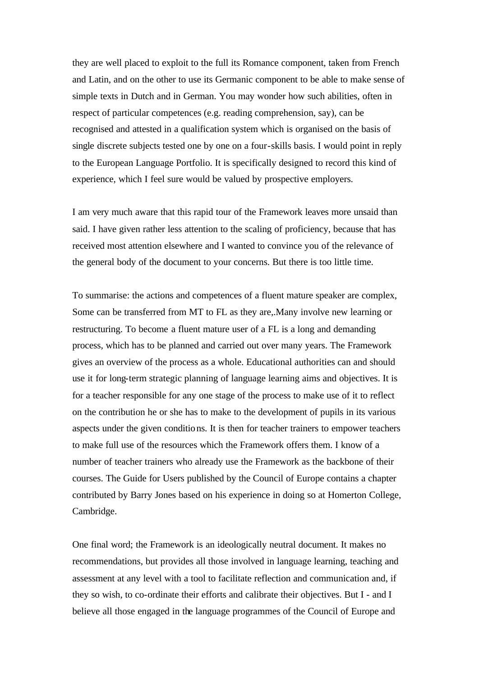they are well placed to exploit to the full its Romance component, taken from French and Latin, and on the other to use its Germanic component to be able to make sense of simple texts in Dutch and in German. You may wonder how such abilities, often in respect of particular competences (e.g. reading comprehension, say), can be recognised and attested in a qualification system which is organised on the basis of single discrete subjects tested one by one on a four-skills basis. I would point in reply to the European Language Portfolio. It is specifically designed to record this kind of experience, which I feel sure would be valued by prospective employers.

I am very much aware that this rapid tour of the Framework leaves more unsaid than said. I have given rather less attention to the scaling of proficiency, because that has received most attention elsewhere and I wanted to convince you of the relevance of the general body of the document to your concerns. But there is too little time.

To summarise: the actions and competences of a fluent mature speaker are complex, Some can be transferred from MT to FL as they are,.Many involve new learning or restructuring. To become a fluent mature user of a FL is a long and demanding process, which has to be planned and carried out over many years. The Framework gives an overview of the process as a whole. Educational authorities can and should use it for long-term strategic planning of language learning aims and objectives. It is for a teacher responsible for any one stage of the process to make use of it to reflect on the contribution he or she has to make to the development of pupils in its various aspects under the given conditions. It is then for teacher trainers to empower teachers to make full use of the resources which the Framework offers them. I know of a number of teacher trainers who already use the Framework as the backbone of their courses. The Guide for Users published by the Council of Europe contains a chapter contributed by Barry Jones based on his experience in doing so at Homerton College, Cambridge.

One final word; the Framework is an ideologically neutral document. It makes no recommendations, but provides all those involved in language learning, teaching and assessment at any level with a tool to facilitate reflection and communication and, if they so wish, to co-ordinate their efforts and calibrate their objectives. But I - and I believe all those engaged in the language programmes of the Council of Europe and